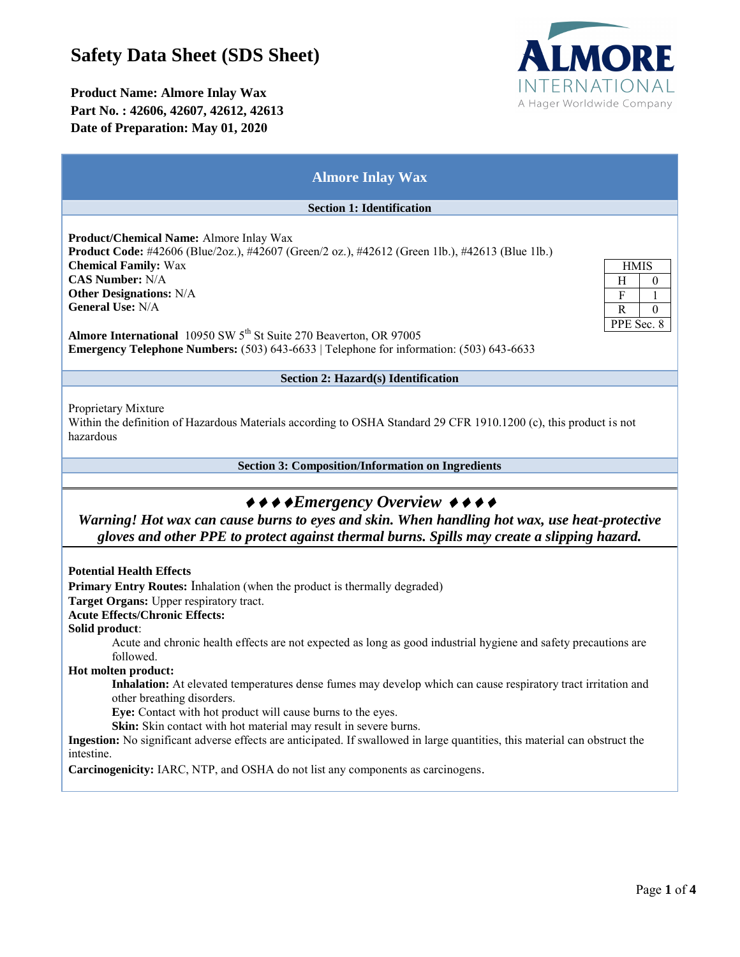# **Safety Data Sheet (SDS Sheet)**

## **Product Name: Almore Inlay Wax Part No. : 42606, 42607, 42612, 42613 Date of Preparation: May 01, 2020**



### **Almore Inlay Wax**

#### **Section 1: Identification**

**Product/Chemical Name:** Almore Inlay Wax **Product Code:** #42606 (Blue/2oz.), #42607 (Green/2 oz.), #42612 (Green 1lb.), #42613 (Blue 1lb.) **Chemical Family:** Wax **CAS Number:** N/A **Other Designations:** N/A **General Use:** N/A

| HMIS          |    |
|---------------|----|
| н             | D) |
| F             |    |
| R             |    |
| PPE Sec.<br>8 |    |

Almore International 10950 SW 5<sup>th</sup> St Suite 270 Beaverton, OR 97005 **Emergency Telephone Numbers:** (503) 643-6633 | Telephone for information: (503) 643-6633

#### **Section 2: Hazard(s) Identification**

Proprietary Mixture

Within the definition of Hazardous Materials according to OSHA Standard 29 CFR 1910.1200 (c), this product is not hazardous

**Section 3: Composition/Information on Ingredients**

# $\leftrightarrow \leftrightarrow \bullet$ *Emergency Overview*  $\leftrightarrow \bullet \bullet$

*Warning! Hot wax can cause burns to eyes and skin. When handling hot wax, use heat-protective gloves and other PPE to protect against thermal burns. Spills may create a slipping hazard.*

**Potential Health Effects**

**Primary Entry Routes:** Inhalation (when the product is thermally degraded)

**Target Organs:** Upper respiratory tract.

**Acute Effects/Chronic Effects:** 

**Solid product**:

Acute and chronic health effects are not expected as long as good industrial hygiene and safety precautions are followed.

**Hot molten product:** 

**Inhalation:** At elevated temperatures dense fumes may develop which can cause respiratory tract irritation and other breathing disorders.

**Eye:** Contact with hot product will cause burns to the eyes.

**Skin:** Skin contact with hot material may result in severe burns.

**Ingestion:** No significant adverse effects are anticipated. If swallowed in large quantities, this material can obstruct the intestine.

**Carcinogenicity:** IARC, NTP, and OSHA do not list any components as carcinogens.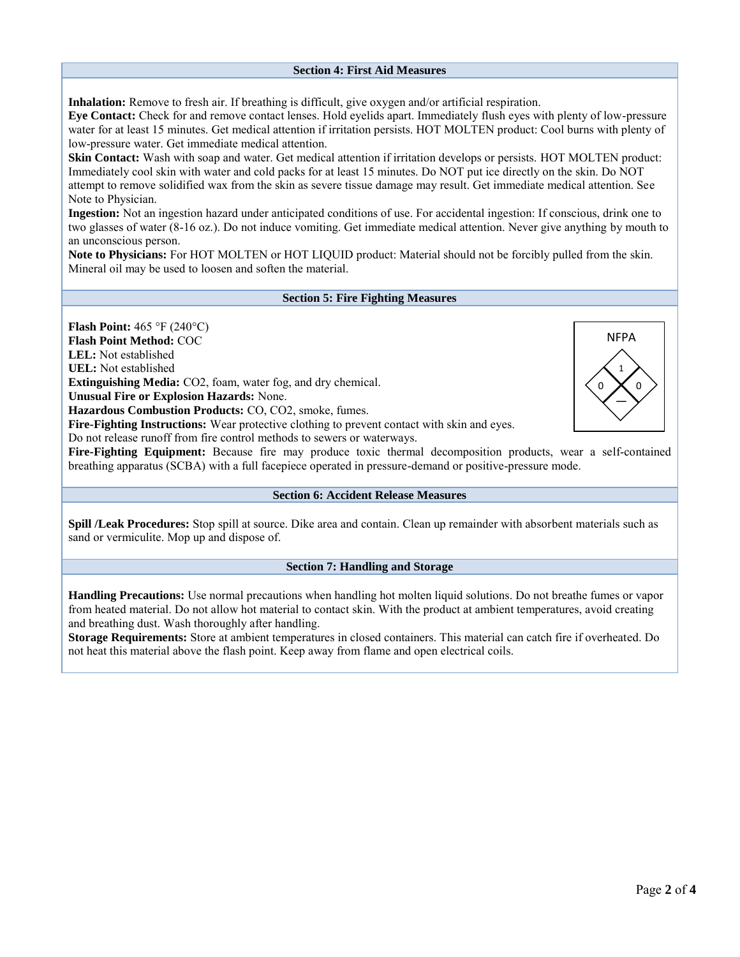#### **Section 4: First Aid Measures**

**Inhalation:** Remove to fresh air. If breathing is difficult, give oxygen and/or artificial respiration.

**Eye Contact:** Check for and remove contact lenses. Hold eyelids apart. Immediately flush eyes with plenty of low-pressure water for at least 15 minutes. Get medical attention if irritation persists. HOT MOLTEN product: Cool burns with plenty of low-pressure water. Get immediate medical attention.

**Skin Contact:** Wash with soap and water. Get medical attention if irritation develops or persists. HOT MOLTEN product: Immediately cool skin with water and cold packs for at least 15 minutes. Do NOT put ice directly on the skin. Do NOT attempt to remove solidified wax from the skin as severe tissue damage may result. Get immediate medical attention. See Note to Physician.

**Ingestion:** Not an ingestion hazard under anticipated conditions of use. For accidental ingestion: If conscious, drink one to two glasses of water (8-16 oz.). Do not induce vomiting. Get immediate medical attention. Never give anything by mouth to an unconscious person.

**Note to Physicians:** For HOT MOLTEN or HOT LIQUID product: Material should not be forcibly pulled from the skin. Mineral oil may be used to loosen and soften the material.

#### **Section 5: Fire Fighting Measures**

**Flash Point:** 465 °F (240°C) **Flash Point Method:** COC **LEL:** Not established **UEL:** Not established **Extinguishing Media:** CO2, foam, water fog, and dry chemical. **Unusual Fire or Explosion Hazards:** None. **Hazardous Combustion Products:** CO, CO2, smoke, fumes. **Fire-Fighting Instructions:** Wear protective clothing to prevent contact with skin and eyes. Do not release runoff from fire control methods to sewers or waterways. **Fire-Fighting Equipment:** Because fire may produce toxic thermal decomposition products, wear a self-contained breathing apparatus (SCBA) with a full facepiece operated in pressure-demand or positive-pressure mode. 1 —  $0$   $\times$   $0$ NFPA

#### **Section 6: Accident Release Measures**

**Spill /Leak Procedures:** Stop spill at source. Dike area and contain. Clean up remainder with absorbent materials such as sand or vermiculite. Mop up and dispose of.

#### **Section 7: Handling and Storage**

**Handling Precautions:** Use normal precautions when handling hot molten liquid solutions. Do not breathe fumes or vapor from heated material. Do not allow hot material to contact skin. With the product at ambient temperatures, avoid creating and breathing dust. Wash thoroughly after handling.

**Storage Requirements:** Store at ambient temperatures in closed containers. This material can catch fire if overheated. Do not heat this material above the flash point. Keep away from flame and open electrical coils.

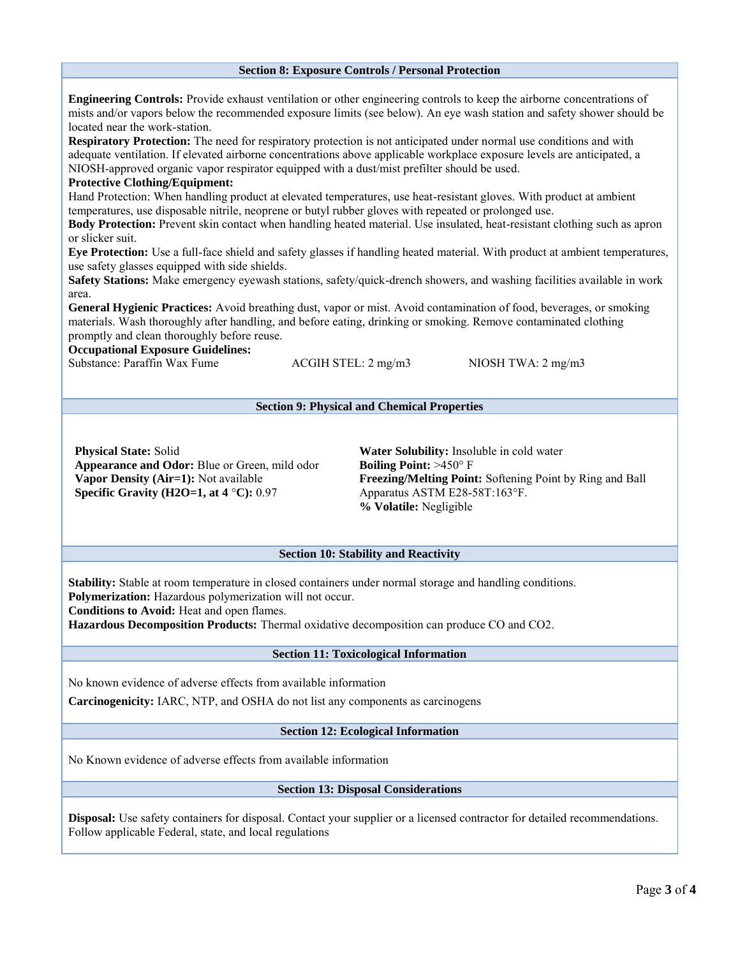# **Section 8: Exposure Controls / Personal Protection Engineering Controls:** Provide exhaust ventilation or other engineering controls to keep the airborne concentrations of mists and/or vapors below the recommended exposure limits (see below). An eye wash station and safety shower should be located near the work-station. **Respiratory Protection:** The need for respiratory protection is not anticipated under normal use conditions and with adequate ventilation. If elevated airborne concentrations above applicable workplace exposure levels are anticipated, a NIOSH-approved organic vapor respirator equipped with a dust/mist prefilter should be used. **Protective Clothing/Equipment:**  Hand Protection: When handling product at elevated temperatures, use heat-resistant gloves. With product at ambient temperatures, use disposable nitrile, neoprene or butyl rubber gloves with repeated or prolonged use. **Body Protection:** Prevent skin contact when handling heated material. Use insulated, heat-resistant clothing such as apron or slicker suit. **Eye Protection:** Use a full-face shield and safety glasses if handling heated material. With product at ambient temperatures, use safety glasses equipped with side shields. **Safety Stations:** Make emergency eyewash stations, safety/quick-drench showers, and washing facilities available in work area. **General Hygienic Practices:** Avoid breathing dust, vapor or mist. Avoid contamination of food, beverages, or smoking materials. Wash thoroughly after handling, and before eating, drinking or smoking. Remove contaminated clothing promptly and clean thoroughly before reuse. **Occupational Exposure Guidelines:**  Substance: Paraffin Wax Fume ACGIH STEL: 2 mg/m3 NIOSH TWA: 2 mg/m3 **Section 9: Physical and Chemical Properties Physical State:** Solid **Appearance and Odor:** Blue or Green, mild odor **Vapor Density (Air=1):** Not available **Specific Gravity (H2O=1, at 4** °**C):** 0.97 **Water Solubility:** Insoluble in cold water **Boiling Point:** >450° F **Freezing/Melting Point:** Softening Point by Ring and Ball Apparatus ASTM E28-58T:163°F. **% Volatile:** Negligible **Section 10: Stability and Reactivity Stability:** Stable at room temperature in closed containers under normal storage and handling conditions. **Polymerization:** Hazardous polymerization will not occur. **Conditions to Avoid:** Heat and open flames. **Hazardous Decomposition Products:** Thermal oxidative decomposition can produce CO and CO2. **Section 11: Toxicological Information** No known evidence of adverse effects from available information **Carcinogenicity:** IARC, NTP, and OSHA do not list any components as carcinogens **Section 12: Ecological Information** No Known evidence of adverse effects from available information **Section 13: Disposal Considerations Disposal:** Use safety containers for disposal. Contact your supplier or a licensed contractor for detailed recommendations. Follow applicable Federal, state, and local regulations